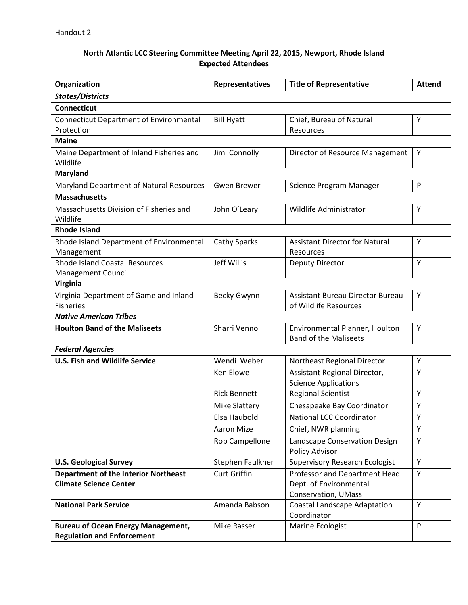## **North Atlantic LCC Steering Committee Meeting April 22, 2015, Newport, Rhode Island Expected Attendees**

| Organization                                                                   | Representatives      | <b>Title of Representative</b>          | <b>Attend</b> |  |  |
|--------------------------------------------------------------------------------|----------------------|-----------------------------------------|---------------|--|--|
| <b>States/Districts</b>                                                        |                      |                                         |               |  |  |
| <b>Connecticut</b>                                                             |                      |                                         |               |  |  |
| <b>Connecticut Department of Environmental</b>                                 | <b>Bill Hyatt</b>    | Chief, Bureau of Natural                | Y             |  |  |
| Protection                                                                     |                      | Resources                               |               |  |  |
| <b>Maine</b>                                                                   |                      |                                         |               |  |  |
| Maine Department of Inland Fisheries and                                       | Jim Connolly         | Director of Resource Management         | Y             |  |  |
| Wildlife                                                                       |                      |                                         |               |  |  |
| <b>Maryland</b>                                                                |                      |                                         |               |  |  |
| Maryland Department of Natural Resources                                       | <b>Gwen Brewer</b>   | Science Program Manager                 | P             |  |  |
| <b>Massachusetts</b>                                                           |                      |                                         |               |  |  |
| Massachusetts Division of Fisheries and                                        | John O'Leary         | Wildlife Administrator                  | Y             |  |  |
| Wildlife                                                                       |                      |                                         |               |  |  |
| <b>Rhode Island</b>                                                            |                      |                                         |               |  |  |
| Rhode Island Department of Environmental                                       | <b>Cathy Sparks</b>  | <b>Assistant Director for Natural</b>   | Υ             |  |  |
| Management<br><b>Rhode Island Coastal Resources</b>                            | Jeff Willis          | Resources                               | Y             |  |  |
| Management Council                                                             |                      | Deputy Director                         |               |  |  |
| <b>Virginia</b>                                                                |                      |                                         |               |  |  |
| Virginia Department of Game and Inland                                         | <b>Becky Gwynn</b>   | <b>Assistant Bureau Director Bureau</b> | Υ             |  |  |
| <b>Fisheries</b>                                                               |                      | of Wildlife Resources                   |               |  |  |
| <b>Native American Tribes</b>                                                  |                      |                                         |               |  |  |
| <b>Houlton Band of the Maliseets</b>                                           | Sharri Venno         | Environmental Planner, Houlton          | Y             |  |  |
|                                                                                |                      | <b>Band of the Maliseets</b>            |               |  |  |
| <b>Federal Agencies</b>                                                        |                      |                                         |               |  |  |
| <b>U.S. Fish and Wildlife Service</b>                                          | Wendi Weber          | Northeast Regional Director             | Y             |  |  |
|                                                                                | Ken Elowe            | Assistant Regional Director,            | Υ             |  |  |
|                                                                                |                      | <b>Science Applications</b>             |               |  |  |
|                                                                                | <b>Rick Bennett</b>  | <b>Regional Scientist</b>               | Y             |  |  |
|                                                                                | <b>Mike Slattery</b> | Chesapeake Bay Coordinator              | Υ             |  |  |
|                                                                                | Elsa Haubold         | <b>National LCC Coordinator</b>         | Y             |  |  |
|                                                                                | Aaron Mize           | Chief, NWR planning                     | Y             |  |  |
|                                                                                | Rob Campellone       | Landscape Conservation Design           | Y             |  |  |
|                                                                                |                      | Policy Advisor                          |               |  |  |
| <b>U.S. Geological Survey</b>                                                  | Stephen Faulkner     | <b>Supervisory Research Ecologist</b>   | Y             |  |  |
| <b>Department of the Interior Northeast</b>                                    | <b>Curt Griffin</b>  | Professor and Department Head           | Y             |  |  |
| <b>Climate Science Center</b>                                                  |                      | Dept. of Environmental                  |               |  |  |
|                                                                                |                      | Conservation, UMass                     |               |  |  |
| <b>National Park Service</b>                                                   | Amanda Babson        | <b>Coastal Landscape Adaptation</b>     | Υ             |  |  |
|                                                                                |                      | Coordinator                             | P             |  |  |
| <b>Bureau of Ocean Energy Management,</b><br><b>Regulation and Enforcement</b> | Mike Rasser          | Marine Ecologist                        |               |  |  |
|                                                                                |                      |                                         |               |  |  |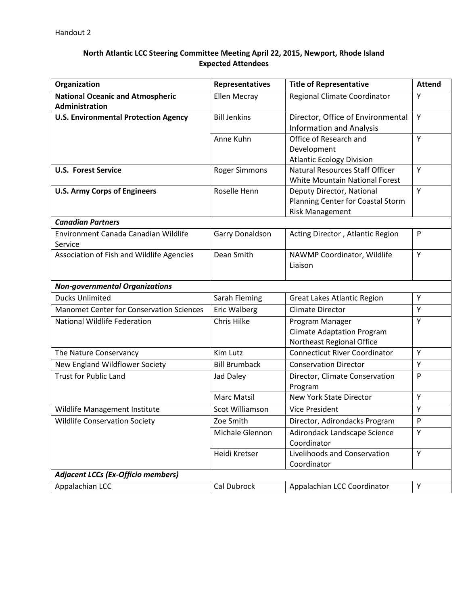## **North Atlantic LCC Steering Committee Meeting April 22, 2015, Newport, Rhode Island Expected Attendees**

| Organization                                    | <b>Representatives</b> | <b>Title of Representative</b>        | <b>Attend</b>             |
|-------------------------------------------------|------------------------|---------------------------------------|---------------------------|
| <b>National Oceanic and Atmospheric</b>         | <b>Ellen Mecray</b>    | Regional Climate Coordinator          | Y                         |
| Administration                                  |                        |                                       |                           |
| <b>U.S. Environmental Protection Agency</b>     | <b>Bill Jenkins</b>    | Director, Office of Environmental     | Y                         |
|                                                 |                        | <b>Information and Analysis</b>       |                           |
|                                                 | Anne Kuhn              | Office of Research and                | Y                         |
|                                                 |                        | Development                           |                           |
|                                                 |                        | <b>Atlantic Ecology Division</b>      |                           |
| <b>U.S. Forest Service</b>                      | <b>Roger Simmons</b>   | Natural Resources Staff Officer       | Y                         |
|                                                 |                        | <b>White Mountain National Forest</b> |                           |
| <b>U.S. Army Corps of Engineers</b>             | Roselle Henn           | Deputy Director, National             | Y                         |
|                                                 |                        | Planning Center for Coastal Storm     |                           |
|                                                 |                        | <b>Risk Management</b>                |                           |
| <b>Canadian Partners</b>                        |                        |                                       |                           |
| Environment Canada Canadian Wildlife            | Garry Donaldson        | Acting Director, Atlantic Region      | $\mathsf{P}$              |
| Service                                         |                        |                                       |                           |
| Association of Fish and Wildlife Agencies       | Dean Smith             | NAWMP Coordinator, Wildlife           | Y                         |
|                                                 |                        | Liaison                               |                           |
| <b>Non-governmental Organizations</b>           |                        |                                       |                           |
| <b>Ducks Unlimited</b>                          | Sarah Fleming          | <b>Great Lakes Atlantic Region</b>    | Υ                         |
| <b>Manomet Center for Conservation Sciences</b> | Eric Walberg           | <b>Climate Director</b>               | Y                         |
| <b>National Wildlife Federation</b>             | Chris Hilke            | Program Manager                       | Υ                         |
|                                                 |                        | <b>Climate Adaptation Program</b>     |                           |
|                                                 |                        | Northeast Regional Office             |                           |
| The Nature Conservancy                          | Kim Lutz               | <b>Connecticut River Coordinator</b>  | Y                         |
| New England Wildflower Society                  | <b>Bill Brumback</b>   | <b>Conservation Director</b>          | Y                         |
| <b>Trust for Public Land</b>                    | Jad Daley              | Director, Climate Conservation        | P                         |
|                                                 |                        | Program                               |                           |
|                                                 | Marc Matsil            | <b>New York State Director</b>        | Y                         |
| Wildlife Management Institute                   | Scot Williamson        | <b>Vice President</b>                 | Y                         |
| <b>Wildlife Conservation Society</b>            | Zoe Smith              | Director, Adirondacks Program         | $\boldsymbol{\mathsf{P}}$ |
|                                                 | Michale Glennon        | Adirondack Landscape Science          | Υ                         |
|                                                 |                        | Coordinator                           |                           |
|                                                 | Heidi Kretser          | Livelihoods and Conservation          | Y                         |
|                                                 |                        | Coordinator                           |                           |
| <b>Adjacent LCCs (Ex-Officio members)</b>       |                        |                                       |                           |
| Appalachian LCC                                 | Cal Dubrock            | Appalachian LCC Coordinator           | Υ                         |